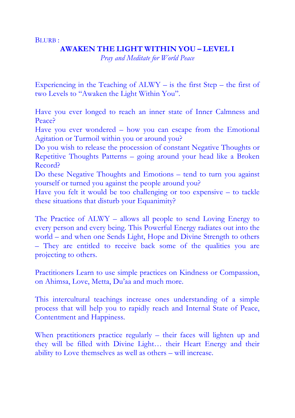BLURB :

## **AWAKEN THE LIGHT WITHIN YOU – LEVEL I**

*Pray and Meditate for World Peace* 

Experiencing in the Teaching of ALWY – is the first Step – the first of two Levels to "Awaken the Light Within You".

Have you ever longed to reach an inner state of Inner Calmness and Peace?

Have you ever wondered – how you can escape from the Emotional Agitation or Turmoil within you or around you?

Do you wish to release the procession of constant Negative Thoughts or Repetitive Thoughts Patterns – going around your head like a Broken Record?

Do these Negative Thoughts and Emotions – tend to turn you against yourself or turned you against the people around you?

Have you felt it would be too challenging or too expensive – to tackle these situations that disturb your Equanimity?

The Practice of ALWY – allows all people to send Loving Energy to every person and every being. This Powerful Energy radiates out into the world – and when one Sends Light, Hope and Divine Strength to others – They are entitled to receive back some of the qualities you are projecting to others.

Practitioners Learn to use simple practices on Kindness or Compassion, on Ahimsa, Love, Metta, Du'aa and much more.

This intercultural teachings increase ones understanding of a simple process that will help you to rapidly reach and Internal State of Peace, Contentment and Happiness.

When practitioners practice regularly – their faces will lighten up and they will be filled with Divine Light… their Heart Energy and their ability to Love themselves as well as others – will increase.